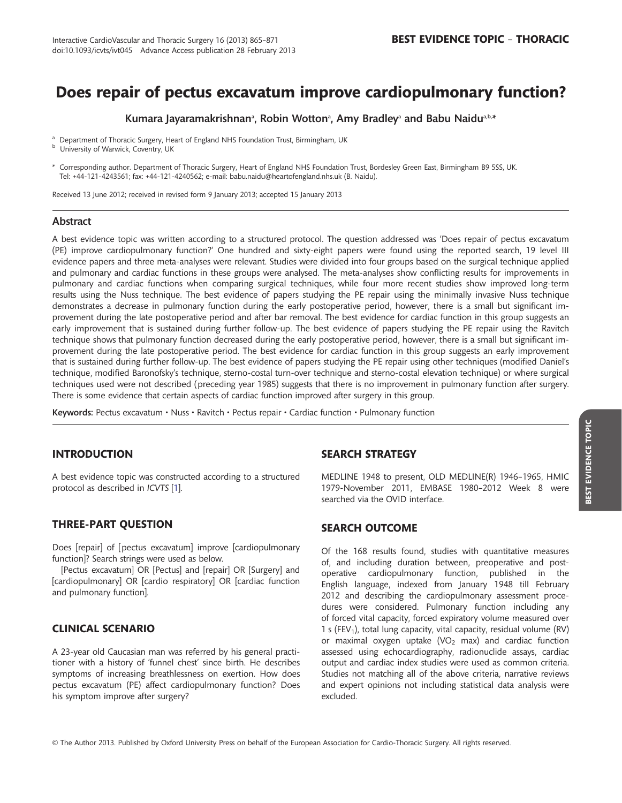# Does repair of pectus excavatum improve cardiopulmonary function?

Kumara Jayaramakrishnanª, Robin Wottonª, Amy Bradleyª and Babu Naiduª.b.\*

<sup>a</sup> Department of Thoracic Surgery, Heart of England NHS Foundation Trust, Birmingham, UK b University of Warwick, Coventry, UK

\* Corresponding author. Department of Thoracic Surgery, Heart of England NHS Foundation Trust, Bordesley Green East, Birmingham B9 5SS, UK. Tel: +44-121-4243561; fax: +44-121-4240562; e-mail: babu.naidu@heartofengland.nhs.uk (B. Naidu).

Received 13 June 2012; received in revised form 9 January 2013; accepted 15 January 2013

## Abstract

A best evidence topic was written according to a structured protocol. The question addressed was 'Does repair of pectus excavatum (PE) improve cardiopulmonary function?' One hundred and sixty-eight papers were found using the reported search, 19 level III evidence papers and three meta-analyses were relevant. Studies were divided into four groups based on the surgical technique applied and pulmonary and cardiac functions in these groups were analysed. The meta-analyses show conflicting results for improvements in pulmonary and cardiac functions when comparing surgical techniques, while four more recent studies show improved long-term results using the Nuss technique. The best evidence of papers studying the PE repair using the minimally invasive Nuss technique demonstrates a decrease in pulmonary function during the early postoperative period, however, there is a small but significant improvement during the late postoperative period and after bar removal. The best evidence for cardiac function in this group suggests an early improvement that is sustained during further follow-up. The best evidence of papers studying the PE repair using the Ravitch technique shows that pulmonary function decreased during the early postoperative period, however, there is a small but significant improvement during the late postoperative period. The best evidence for cardiac function in this group suggests an early improvement that is sustained during further follow-up. The best evidence of papers studying the PE repair using other techniques (modified Daniel's technique, modified Baronofsky's technique, sterno-costal turn-over technique and sterno-costal elevation technique) or where surgical techniques used were not described (preceding year 1985) suggests that there is no improvement in pulmonary function after surgery. There is some evidence that certain aspects of cardiac function improved after surgery in this group.

Keywords: Pectus excavatum • Nuss • Ravitch • Pectus repair • Cardiac function • Pulmonary function

# INTRODUCTION

A best evidence topic was constructed according to a structured protocol as described in ICVTS [\[1\]](#page-5-0).

# THREE-PART QUESTION

Does [repair] of [pectus excavatum] improve [cardiopulmonary function]? Search strings were used as below.

[Pectus excavatum] OR [Pectus] and [repair] OR [Surgery] and [cardiopulmonary] OR [cardio respiratory] OR [cardiac function and pulmonary function].

# CLINICAL SCENARIO

A 23-year old Caucasian man was referred by his general practitioner with a history of 'funnel chest' since birth. He describes symptoms of increasing breathlessness on exertion. How does pectus excavatum (PE) affect cardiopulmonary function? Does his symptom improve after surgery?

## SEARCH STRATEGY

MEDLINE 1948 to present, OLD MEDLINE(R) 1946–1965, HMIC 1979-November 2011, EMBASE 1980–2012 Week 8 were searched via the OVID interface.

# SEARCH OUTCOME

Of the 168 results found, studies with quantitative measures of, and including duration between, preoperative and postoperative cardiopulmonary function, published in the English language, indexed from January 1948 till February 2012 and describing the cardiopulmonary assessment procedures were considered. Pulmonary function including any of forced vital capacity, forced expiratory volume measured over 1 s (FEV<sub>1</sub>), total lung capacity, vital capacity, residual volume (RV) or maximal oxygen uptake (VO<sub>2</sub> max) and cardiac function assessed using echocardiography, radionuclide assays, cardiac output and cardiac index studies were used as common criteria. Studies not matching all of the above criteria, narrative reviews and expert opinions not including statistical data analysis were excluded.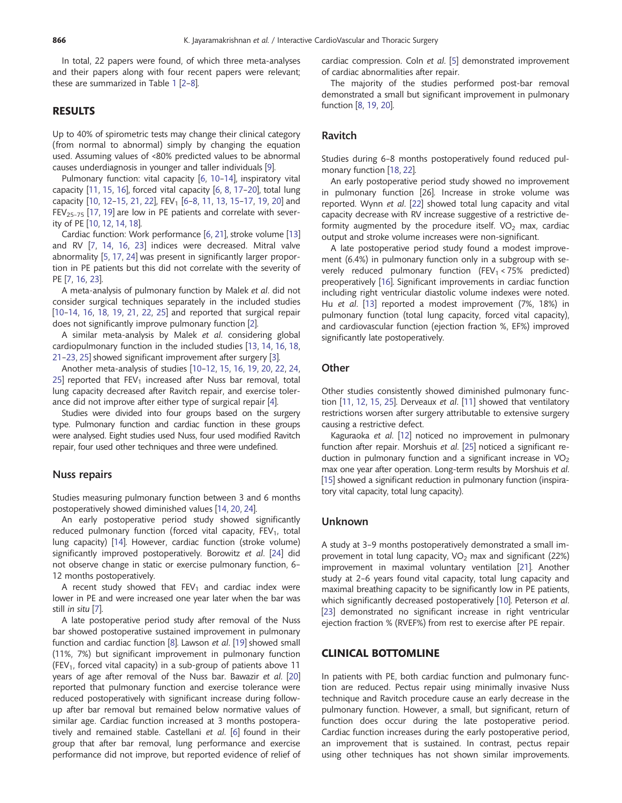In total, 22 papers were found, of which three meta-analyses and their papers along with four recent papers were relevant; these are summarized in Table [1](#page-2-0) [[2](#page-5-0)–[8](#page-5-0)].

## RESULTS

Up to 40% of spirometric tests may change their clinical category (from normal to abnormal) simply by changing the equation used. Assuming values of <80% predicted values to be abnormal causes underdiagnosis in younger and taller individuals [\[9\]](#page-5-0).

Pulmonary function: vital capacity [\[6](#page-5-0), [10](#page-5-0)-[14\]](#page-5-0), inspiratory vital capacity [\[11,](#page-5-0) [15](#page-5-0), [16](#page-5-0)], forced vital capacity [\[6,](#page-5-0) [8,](#page-5-0) [17](#page-5-0)–[20](#page-5-0)], total lung capacity [[10,](#page-5-0) [12](#page-5-0)-[15,](#page-5-0) [21,](#page-5-0) [22\]](#page-5-0), FEV<sub>1</sub> [\[6](#page-5-0)-[8,](#page-5-0) [11](#page-5-0), [13](#page-5-0), [15](#page-5-0)-[17](#page-5-0), [19](#page-5-0), [20\]](#page-5-0) and  $FEV_{25-75}$  [[17](#page-5-0), [19\]](#page-5-0) are low in PE patients and correlate with severity of PE [\[10,](#page-5-0) [12,](#page-5-0) [14,](#page-5-0) [18](#page-5-0)].

Cardiac function: Work performance [[6](#page-5-0), [21\]](#page-5-0), stroke volume [[13\]](#page-5-0) and RV [\[7,](#page-5-0) [14,](#page-5-0) [16,](#page-5-0) [23\]](#page-5-0) indices were decreased. Mitral valve abnormality [[5](#page-5-0), [17,](#page-5-0) [24](#page-5-0)] was present in significantly larger proportion in PE patients but this did not correlate with the severity of PE [[7](#page-5-0), [16](#page-5-0), [23\]](#page-5-0).

A meta-analysis of pulmonary function by Malek et al. did not consider surgical techniques separately in the included studies [[10](#page-5-0)–[14,](#page-5-0) [16,](#page-5-0) [18](#page-5-0), [19,](#page-5-0) [21](#page-5-0), [22,](#page-5-0) [25](#page-5-0)] and reported that surgical repair does not significantly improve pulmonary function [\[2\]](#page-5-0).

A similar meta-analysis by Malek et al. considering global cardiopulmonary function in the included studies [\[13](#page-5-0), [14,](#page-5-0) [16](#page-5-0), [18,](#page-5-0) [21](#page-5-0)–[23](#page-5-0), [25\]](#page-5-0) showed significant improvement after surgery [[3](#page-5-0)].

Another meta-analysis of studies [\[10](#page-5-0)–[12](#page-5-0), [15,](#page-5-0) [16](#page-5-0), [19,](#page-5-0) [20,](#page-5-0) [22](#page-5-0), [24,](#page-5-0) [25\]](#page-5-0) reported that  $FEV_1$  increased after Nuss bar removal, total lung capacity decreased after Ravitch repair, and exercise tolerance did not improve after either type of surgical repair [[4](#page-5-0)].

Studies were divided into four groups based on the surgery type. Pulmonary function and cardiac function in these groups were analysed. Eight studies used Nuss, four used modified Ravitch repair, four used other techniques and three were undefined.

## Nuss repairs

Studies measuring pulmonary function between 3 and 6 months postoperatively showed diminished values [\[14](#page-5-0), [20](#page-5-0), [24\]](#page-5-0).

An early postoperative period study showed significantly reduced pulmonary function (forced vital capacity,  $FEV<sub>1</sub>$ , total lung capacity) [\[14](#page-5-0)]. However, cardiac function (stroke volume) significantly improved postoperatively. Borowitz et al. [[24\]](#page-5-0) did not observe change in static or exercise pulmonary function, 6– 12 months postoperatively.

A recent study showed that  $FEV<sub>1</sub>$  and cardiac index were lower in PE and were increased one year later when the bar was still in situ [\[7\]](#page-5-0).

A late postoperative period study after removal of the Nuss bar showed postoperative sustained improvement in pulmonary function and cardiac function [[8](#page-5-0)]. Lawson et al. [[19\]](#page-5-0) showed small (11%, 7%) but significant improvement in pulmonary function (FEV<sub>1</sub>, forced vital capacity) in a sub-group of patients above 11 years of age after removal of the Nuss bar. Bawazir et al. [[20\]](#page-5-0) reported that pulmonary function and exercise tolerance were reduced postoperatively with significant increase during followup after bar removal but remained below normative values of similar age. Cardiac function increased at 3 months postoperatively and remained stable. Castellani et al. [\[6\]](#page-5-0) found in their group that after bar removal, lung performance and exercise performance did not improve, but reported evidence of relief of cardiac compression. Coln et al. [[5](#page-5-0)] demonstrated improvement of cardiac abnormalities after repair.

The majority of the studies performed post-bar removal demonstrated a small but significant improvement in pulmonary function [\[8,](#page-5-0) [19,](#page-5-0) [20](#page-5-0)].

#### Ravitch

Studies during 6–8 months postoperatively found reduced pulmonary function [[18](#page-5-0), [22](#page-5-0)].

An early postoperative period study showed no improvement in pulmonary function [26]. Increase in stroke volume was reported. Wynn et al. [[22\]](#page-5-0) showed total lung capacity and vital capacity decrease with RV increase suggestive of a restrictive deformity augmented by the procedure itself.  $VO<sub>2</sub>$  max, cardiac output and stroke volume increases were non-significant.

A late postoperative period study found a modest improvement (6.4%) in pulmonary function only in a subgroup with severely reduced pulmonary function (FEV<sub>1</sub> < 75% predicted) preoperatively [\[16\]](#page-5-0). Significant improvements in cardiac function including right ventricular diastolic volume indexes were noted. Hu et al. [[13\]](#page-5-0) reported a modest improvement (7%, 18%) in pulmonary function (total lung capacity, forced vital capacity), and cardiovascular function (ejection fraction %, EF%) improved significantly late postoperatively.

#### **Other**

Other studies consistently showed diminished pulmonary function [[11](#page-5-0), [12,](#page-5-0) [15,](#page-5-0) [25\]](#page-5-0). Derveaux et al. [\[11](#page-5-0)] showed that ventilatory restrictions worsen after surgery attributable to extensive surgery causing a restrictive defect.

Kaguraoka et al. [\[12](#page-5-0)] noticed no improvement in pulmonary function after repair. Morshuis et al. [[25\]](#page-5-0) noticed a significant reduction in pulmonary function and a significant increase in  $VO<sub>2</sub>$ max one year after operation. Long-term results by Morshuis et al. [[15\]](#page-5-0) showed a significant reduction in pulmonary function (inspiratory vital capacity, total lung capacity).

#### Unknown

A study at 3–9 months postoperatively demonstrated a small improvement in total lung capacity,  $VO<sub>2</sub>$  max and significant (22%) improvement in maximal voluntary ventilation [[21\]](#page-5-0). Another study at 2–6 years found vital capacity, total lung capacity and maximal breathing capacity to be significantly low in PE patients, which significantly decreased postoperatively [[10\]](#page-5-0). Peterson *et al.* [[23](#page-5-0)] demonstrated no significant increase in right ventricular ejection fraction % (RVEF%) from rest to exercise after PE repair.

### CLINICAL BOTTOMLINE

In patients with PE, both cardiac function and pulmonary function are reduced. Pectus repair using minimally invasive Nuss technique and Ravitch procedure cause an early decrease in the pulmonary function. However, a small, but significant, return of function does occur during the late postoperative period. Cardiac function increases during the early postoperative period, an improvement that is sustained. In contrast, pectus repair using other techniques has not shown similar improvements.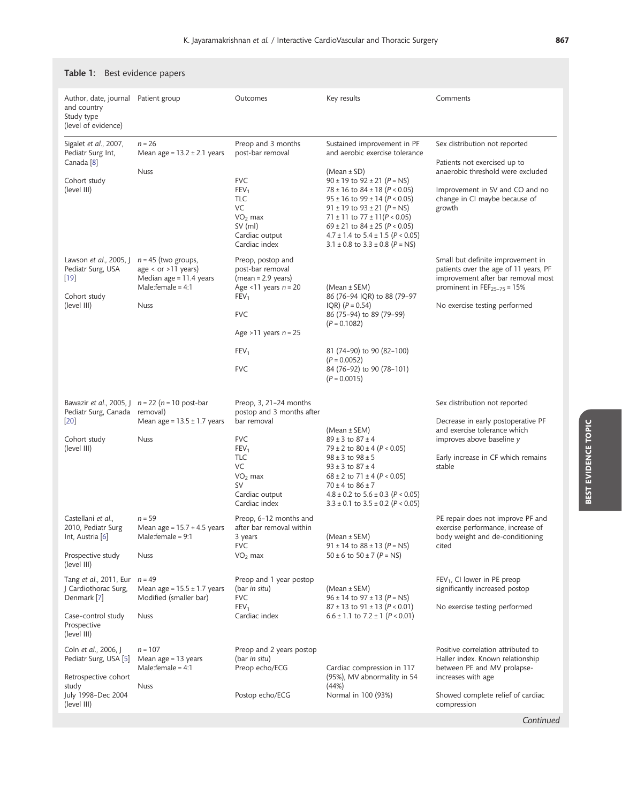| Author, date, journal<br>and country<br>Study type<br>(level of evidence)                    | Patient group                                                                                                      | Outcomes                                                                                                                                                                        | Key results                                                                                                                                                                                                                                                                                                                                      | Comments                                                                                                                                                                                       |
|----------------------------------------------------------------------------------------------|--------------------------------------------------------------------------------------------------------------------|---------------------------------------------------------------------------------------------------------------------------------------------------------------------------------|--------------------------------------------------------------------------------------------------------------------------------------------------------------------------------------------------------------------------------------------------------------------------------------------------------------------------------------------------|------------------------------------------------------------------------------------------------------------------------------------------------------------------------------------------------|
| Sigalet et al., 2007,<br>Pediatr Surg Int,<br>Canada <sup>[8]</sup>                          | $n = 26$<br>Mean age = $13.2 \pm 2.1$ years                                                                        | Preop and 3 months<br>post-bar removal                                                                                                                                          | Sustained improvement in PF<br>and aerobic exercise tolerance                                                                                                                                                                                                                                                                                    | Sex distribution not reported<br>Patients not exercised up to                                                                                                                                  |
| Cohort study<br>(level III)                                                                  | <b>Nuss</b>                                                                                                        | <b>FVC</b><br>FEV <sub>1</sub><br><b>TLC</b><br>VC<br>$VO2$ max<br>SV (ml)<br>Cardiac output<br>Cardiac index                                                                   | $(Mean \pm SD)$<br>$90 \pm 19$ to $92 \pm 21$ (P = NS)<br>$78 \pm 16$ to $84 \pm 18$ (P < 0.05)<br>$95 \pm 16$ to $99 \pm 14$ ( $P < 0.05$ )<br>91 ± 19 to $93 \pm 21$ (P = NS)<br>71 ± 11 to 77 ± 11( $P < 0.05$ )<br>69 ± 21 to 84 ± 25 ( $P < 0.05$ )<br>$4.7 \pm 1.4$ to $5.4 \pm 1.5$ (P < 0.05)<br>$3.1 \pm 0.8$ to $3.3 \pm 0.8$ (P = NS) | anaerobic threshold were excluded<br>Improvement in SV and CO and no<br>change in CI maybe because of<br>growth                                                                                |
| Lawson <i>et al.</i> , 2005, J<br>Pediatr Surg, USA<br>$[19]$<br>Cohort study<br>(level III) | $n = 45$ (two groups,<br>age < or $>11$ years)<br>Median age $= 11.4$ years<br>Male: female = $4:1$<br><b>Nuss</b> | Preop, postop and<br>post-bar removal<br>$(mean = 2.9 \text{ years})$<br>Age <11 years $n = 20$<br>FEV <sub>1</sub><br><b>FVC</b><br>Age >11 years $n = 25$<br>FEV <sub>1</sub> | (Mean ± SEM)<br>86 (76-94 IQR) to 88 (79-97<br>$IQR)$ ( $P = 0.54$ )<br>86 (75-94) to 89 (79-99)<br>$(P = 0.1082)$<br>81 (74-90) to 90 (82-100)<br>$(P = 0.0052)$                                                                                                                                                                                | Small but definite improvement in<br>patients over the age of 11 years, PF<br>improvement after bar removal most<br>prominent in FEF <sub>25-75</sub> = $15%$<br>No exercise testing performed |
|                                                                                              | Bawazir <i>et al.</i> , 2005, $\int$ $n = 22$ ( $n = 10$ post-bar                                                  | <b>FVC</b><br>Preop, 3, 21-24 months                                                                                                                                            | 84 (76-92) to 90 (78-101)<br>$(P = 0.0015)$                                                                                                                                                                                                                                                                                                      | Sex distribution not reported                                                                                                                                                                  |
| Pediatr Surg, Canada removal)<br>$[20]$                                                      | Mean age = $13.5 \pm 1.7$ years                                                                                    | postop and 3 months after<br>bar removal                                                                                                                                        | (Mean ± SEM)                                                                                                                                                                                                                                                                                                                                     | Decrease in early postoperative PF<br>and exercise tolerance which                                                                                                                             |
| Cohort study<br>(level III)                                                                  | <b>Nuss</b>                                                                                                        | <b>FVC</b><br>FEV <sub>1</sub><br><b>TLC</b><br>VC<br>$VO2$ max<br>SV<br>Cardiac output<br>Cardiac index                                                                        | $89 \pm 3$ to $87 \pm 4$<br>79 ± 2 to $80 \pm 4$ ( $P < 0.05$ )<br>$98 \pm 3$ to $98 \pm 5$<br>$93 \pm 3$ to $87 \pm 4$<br>$68 \pm 2$ to 71 $\pm$ 4 (P < 0.05)<br>$70 \pm 4$ to $86 \pm 7$<br>$4.8 \pm 0.2$ to $5.6 \pm 0.3$ (P < 0.05)<br>$3.3 \pm 0.1$ to $3.5 \pm 0.2$ (P < 0.05)                                                             | improves above baseline y<br>Early increase in CF which remains<br>stable                                                                                                                      |
| Castellani <i>et al.</i> ,<br>2010, Pediatr Surg<br>Int, Austria [6]                         | $n = 59$<br>Mean age = $15.7 + 4.5$ years<br>Male:female = 9:1                                                     | Preop, 6-12 months and<br>after bar removal within<br>3 years<br><b>FVC</b>                                                                                                     | (Mean ± SEM)<br>91 ± 14 to $88 \pm 13$ (P = NS)                                                                                                                                                                                                                                                                                                  | PE repair does not improve PF and<br>exercise performance, increase of<br>body weight and de-conditioning<br>cited                                                                             |
| Prospective study<br>(level III)                                                             | <b>Nuss</b>                                                                                                        | $VO2$ max                                                                                                                                                                       | $50 \pm 6$ to $50 \pm 7$ (P = NS)                                                                                                                                                                                                                                                                                                                |                                                                                                                                                                                                |
| Tang et al., 2011, Eur<br>J Cardiothorac Surg,<br>Denmark [7]                                | $n = 49$<br>Mean age = $15.5 \pm 1.7$ years<br>Modified (smaller bar)                                              | Preop and 1 year postop<br>(bar in situ)<br><b>FVC</b><br>FEV <sub>1</sub>                                                                                                      | (Mean ± SEM)<br>$96 \pm 14$ to $97 \pm 13$ (P = NS)<br>$87 \pm 13$ to 91 $\pm$ 13 (P < 0.01)                                                                                                                                                                                                                                                     | $FEV1$ , CI lower in PE preop<br>significantly increased postop<br>No exercise testing performed                                                                                               |
| Case-control study<br>Prospective<br>(level III)                                             | <b>Nuss</b>                                                                                                        | Cardiac index                                                                                                                                                                   | $6.6 \pm 1.1$ to $7.2 \pm 1$ (P < 0.01)                                                                                                                                                                                                                                                                                                          |                                                                                                                                                                                                |
| Coln <i>et al.</i> , 2006, J<br>Pediatr Surg, USA [5]<br>Retrospective cohort                | $n = 107$<br>Mean age = 13 years<br>Male: female = $4:1$                                                           | Preop and 2 years postop<br>(bar in situ)<br>Preop echo/ECG                                                                                                                     | Cardiac compression in 117<br>(95%), MV abnormality in 54                                                                                                                                                                                                                                                                                        | Positive correlation attributed to<br>Haller index. Known relationship<br>between PE and MV prolapse-<br>increases with age                                                                    |
| study<br>July 1998-Dec 2004<br>(level III)                                                   | <b>Nuss</b>                                                                                                        | Postop echo/ECG                                                                                                                                                                 | (44%)<br>Normal in 100 (93%)                                                                                                                                                                                                                                                                                                                     | Showed complete relief of cardiac<br>compression                                                                                                                                               |
|                                                                                              |                                                                                                                    |                                                                                                                                                                                 |                                                                                                                                                                                                                                                                                                                                                  | Continued                                                                                                                                                                                      |

# <span id="page-2-0"></span>Table 1: Best evidence papers

BEST EVIDENCE TOPIC

**BEST EVIDENCE TOPIC**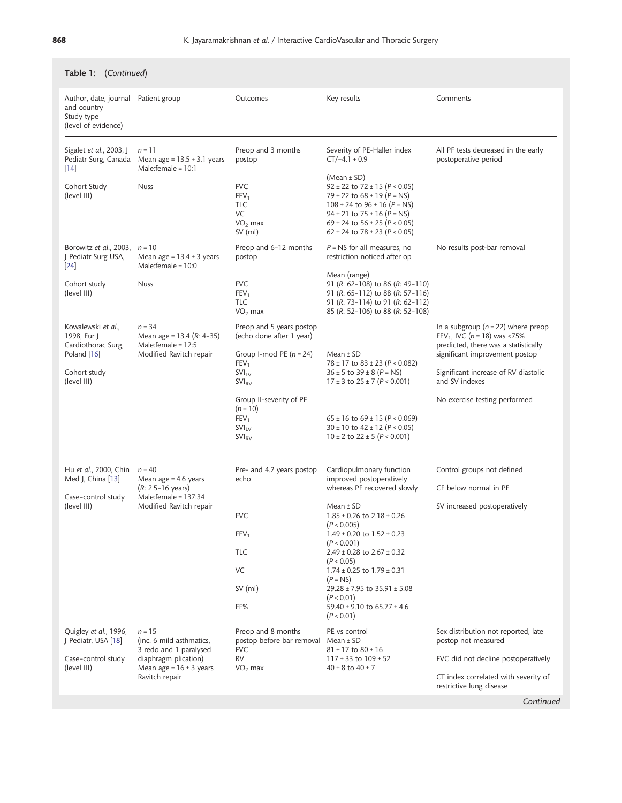| Table 1: (Continued)                                                                                  |                                                                                                                                         |                                                                                                                                                                                                                                                                                                                                          |                                                                                                                                                                                                                                                          |                                                                                                                                                                                                                            |  |
|-------------------------------------------------------------------------------------------------------|-----------------------------------------------------------------------------------------------------------------------------------------|------------------------------------------------------------------------------------------------------------------------------------------------------------------------------------------------------------------------------------------------------------------------------------------------------------------------------------------|----------------------------------------------------------------------------------------------------------------------------------------------------------------------------------------------------------------------------------------------------------|----------------------------------------------------------------------------------------------------------------------------------------------------------------------------------------------------------------------------|--|
| Author, date, journal Patient group<br>and country<br>Study type<br>(level of evidence)               |                                                                                                                                         | Outcomes                                                                                                                                                                                                                                                                                                                                 | Key results                                                                                                                                                                                                                                              | Comments                                                                                                                                                                                                                   |  |
| Sigalet et al., 2003, J<br>Pediatr Surg, Canada<br>$[14]$                                             | $n = 11$<br>Mean age = $13.5 + 3.1$ years<br>Male:female = $10:1$                                                                       | Preop and 3 months<br>postop                                                                                                                                                                                                                                                                                                             | Severity of PE-Haller index<br>$CT/-4.1 + 0.9$                                                                                                                                                                                                           | All PF tests decreased in the early<br>postoperative period                                                                                                                                                                |  |
| Cohort Study<br>(level III)                                                                           | <b>Nuss</b>                                                                                                                             | <b>FVC</b><br>FEV <sub>1</sub><br><b>TLC</b><br>VC<br>$VO2$ max<br>$SV$ (ml)                                                                                                                                                                                                                                                             | (Mean ± SD)<br>$92 \pm 22$ to $72 \pm 15$ (P < 0.05)<br>79 ± 22 to $68 \pm 19$ (P = NS)<br>$108 \pm 24$ to $96 \pm 16$ (P = NS)<br>$94 \pm 21$ to $75 \pm 16$ (P = NS)<br>69 ± 24 to $56 \pm 25$ ( $P < 0.05$ )<br>$62 \pm 24$ to $78 \pm 23$ (P < 0.05) |                                                                                                                                                                                                                            |  |
| Borowitz et al., 2003,<br>J Pediatr Surg USA,<br>$\left[24\right]$                                    | $n = 10$<br>Mean age = $13.4 \pm 3$ years<br>Male:female = $10:0$                                                                       | Preop and 6-12 months<br>postop                                                                                                                                                                                                                                                                                                          | $P = NS$ for all measures, no<br>restriction noticed after op                                                                                                                                                                                            | No results post-bar removal                                                                                                                                                                                                |  |
| Cohort study<br>(level III)                                                                           | <b>Nuss</b>                                                                                                                             | <b>FVC</b><br>FEV <sub>1</sub><br>TLC<br>$VO2$ max                                                                                                                                                                                                                                                                                       | Mean (range)<br>91 (R: 62-108) to 86 (R: 49-110)<br>91 (R: 65-112) to 88 (R: 57-116)<br>91 (R: 73-114) to 91 (R: 62-112)<br>85 (R: 52-106) to 88 (R: 52-108)                                                                                             |                                                                                                                                                                                                                            |  |
| Kowalewski et al.,<br>1998, Eur J<br>Cardiothorac Surg,<br>Poland [16]<br>Cohort study<br>(level III) | $n = 34$<br>Mean age = $13.4$ ( $R: 4-35$ )<br>Male:female = $12:5$<br>Modified Ravitch repair                                          | Preop and 5 years postop<br>(echo done after 1 year)<br>Group I-mod PE $(n = 24)$<br>FEV <sub>1</sub><br>$SVI_{IV}$<br><b>SVI<sub>RV</sub></b>                                                                                                                                                                                           | Mean $±$ SD<br>78 ± 17 to $83 \pm 23$ ( $P < 0.082$ )<br>$36 \pm 5$ to $39 \pm 8$ (P = NS)<br>$17 \pm 3$ to $25 \pm 7$ (P < 0.001)                                                                                                                       | In a subgroup ( $n = 22$ ) where preop<br>FEV <sub>1</sub> , IVC ( $n = 18$ ) was <75%<br>predicted, there was a statistically<br>significant improvement postop<br>Significant increase of RV diastolic<br>and SV indexes |  |
|                                                                                                       |                                                                                                                                         | Group II-severity of PE<br>$(n = 10)$<br>FEV <sub>1</sub><br>$SVI_{IV}$<br><b>SVI<sub>RV</sub></b>                                                                                                                                                                                                                                       | $65 \pm 16$ to $69 \pm 15$ (P < 0.069)<br>$30 \pm 10$ to $42 \pm 12$ (P < 0.05)<br>$10 \pm 2$ to $22 \pm 5$ (P < 0.001)                                                                                                                                  | No exercise testing performed                                                                                                                                                                                              |  |
| Hu et al., 2000, Chin<br>Med J, China [13]                                                            | $n = 40$<br>Mean age = $4.6$ years<br>$(R: 2.5-16 \text{ years})$                                                                       | Pre- and 4.2 years postop<br>echo                                                                                                                                                                                                                                                                                                        | Cardiopulmonary function<br>improved postoperatively<br>whereas PF recovered slowly                                                                                                                                                                      | Control groups not defined<br>CF below normal in PE                                                                                                                                                                        |  |
| Male:female = 137:34<br>Case-control study<br>(level III)<br>Modified Ravitch repair                  | <b>FVC</b><br>FEV <sub>1</sub><br><b>TLC</b><br>VC<br>$SV$ (ml)<br>EF%                                                                  | Mean $±$ SD<br>$1.85 \pm 0.26$ to $2.18 \pm 0.26$<br>(P < 0.005)<br>$1.49 \pm 0.20$ to $1.52 \pm 0.23$<br>(P < 0.001)<br>$2.49 \pm 0.28$ to $2.67 \pm 0.32$<br>(P < 0.05)<br>$1.74 \pm 0.25$ to $1.79 \pm 0.31$<br>$(P = NS)$<br>$29.28 \pm 7.95$ to $35.91 \pm 5.08$<br>(P < 0.01)<br>$59.40 \pm 9.10$ to 65.77 $\pm 4.6$<br>(P < 0.01) | SV increased postoperatively                                                                                                                                                                                                                             |                                                                                                                                                                                                                            |  |
| Quigley et al., 1996,<br>J Pediatr, USA [18]<br>Case-control study<br>(level III)                     | $n = 15$<br>(inc. 6 mild asthmatics,<br>3 redo and 1 paralysed<br>diaphragm plication)<br>Mean age = $16 \pm 3$ years<br>Ravitch repair | Preop and 8 months<br>postop before bar removal<br><b>FVC</b><br><b>RV</b><br>$VO2$ max                                                                                                                                                                                                                                                  | PE vs control<br>Mean $\pm$ SD<br>$81 \pm 17$ to $80 \pm 16$<br>$117 \pm 33$ to $109 \pm 52$<br>$40 \pm 8$ to $40 \pm 7$                                                                                                                                 | Sex distribution not reported, late<br>postop not measured<br>FVC did not decline postoperatively<br>CT index correlated with severity of<br>restrictive lung disease                                                      |  |

Continued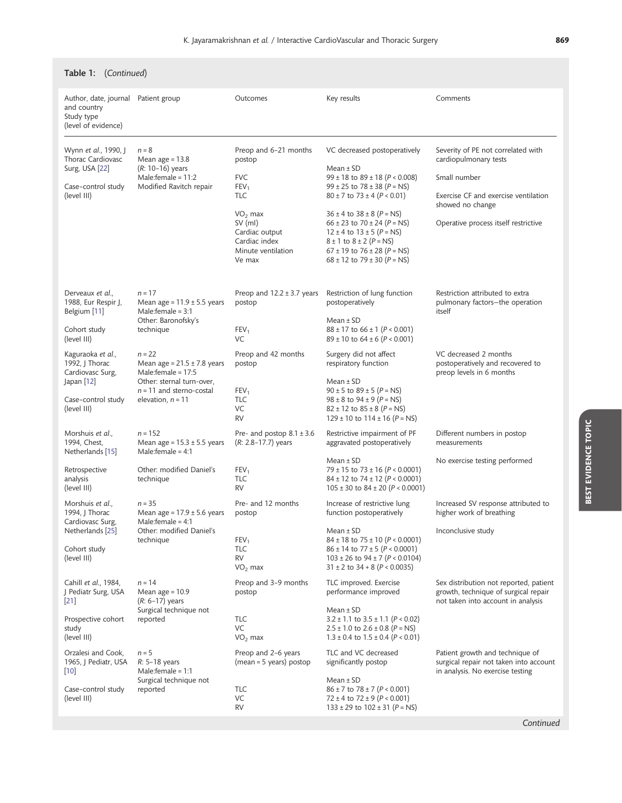| Table 1: (Continued)                                                                                           |                                                                                                                                                       |                                                                                                                                                                              |                                                                                                                                                                                                                                                                                                                                                                                                           |                                                                                                                                                                                 |  |
|----------------------------------------------------------------------------------------------------------------|-------------------------------------------------------------------------------------------------------------------------------------------------------|------------------------------------------------------------------------------------------------------------------------------------------------------------------------------|-----------------------------------------------------------------------------------------------------------------------------------------------------------------------------------------------------------------------------------------------------------------------------------------------------------------------------------------------------------------------------------------------------------|---------------------------------------------------------------------------------------------------------------------------------------------------------------------------------|--|
| Author, date, journal Patient group<br>and country<br>Study type<br>(level of evidence)                        |                                                                                                                                                       | Outcomes                                                                                                                                                                     | Key results                                                                                                                                                                                                                                                                                                                                                                                               | Comments                                                                                                                                                                        |  |
| Wynn et al., 1990, J<br>Thorac Cardiovasc<br>Surg, USA [22]<br>Case-control study<br>(level III)               | $n = 8$<br>Mean age $= 13.8$<br>$(R: 10-16)$ years<br>Male: female = $11:2$<br>Modified Ravitch repair                                                | Preop and 6-21 months<br>postop<br><b>FVC</b><br>FEV <sub>1</sub><br><b>TLC</b><br>$VO2$ max<br>$SV$ (ml)<br>Cardiac output<br>Cardiac index<br>Minute ventilation<br>Ve max | VC decreased postoperatively<br>Mean $±$ SD<br>$99 \pm 18$ to $89 \pm 18$ (P < 0.008)<br>$99 \pm 25$ to $78 \pm 38$ (P = NS)<br>$80 \pm 7$ to $73 \pm 4$ (P < 0.01)<br>$36 \pm 4$ to $38 \pm 8$ (P = NS)<br>$66 \pm 23$ to $70 \pm 24$ (P = NS)<br>$12 \pm 4$ to $13 \pm 5$ (P = NS)<br>$8 \pm 1$ to $8 \pm 2$ ( $P = NS$ )<br>$67 \pm 19$ to $76 \pm 28$ (P = NS)<br>$68 \pm 12$ to $79 \pm 30$ (P = NS) | Severity of PE not correlated with<br>cardiopulmonary tests<br>Small number<br>Exercise CF and exercise ventilation<br>showed no change<br>Operative process itself restrictive |  |
| Derveaux et al.,<br>1988, Eur Respir J,<br>Belgium [11]<br>Cohort study<br>(level III)                         | $n = 17$<br>Mean age = $11.9 \pm 5.5$ years<br>Male: $f$ emale = 3:1<br>Other: Baronofsky's<br>technique                                              | Preop and $12.2 \pm 3.7$ years<br>postop<br>FEV <sub>1</sub><br>VC                                                                                                           | Restriction of lung function<br>postoperatively<br>Mean $±$ SD<br>$88 \pm 17$ to $66 \pm 1$ (P < 0.001)<br>$89 \pm 10$ to $64 \pm 6$ (P < 0.001)                                                                                                                                                                                                                                                          | Restriction attributed to extra<br>pulmonary factors–the operation<br>itself                                                                                                    |  |
| Kaguraoka et al.,<br>1992, J Thorac<br>Cardiovasc Surg,<br>Japan $[12]$<br>Case-control study<br>(level III)   | $n = 22$<br>Mean age = $21.5 \pm 7.8$ years<br>Male:female = $17:5$<br>Other: sternal turn-over,<br>$n = 11$ and sterno-costal<br>elevation, $n = 11$ | Preop and 42 months<br>postop<br>FEV <sub>1</sub><br><b>TLC</b><br>VC<br><b>RV</b>                                                                                           | Surgery did not affect<br>respiratory function<br>Mean $±$ SD<br>$90 \pm 5$ to $89 \pm 5$ (P = NS)<br>$98 \pm 8$ to $94 \pm 9$ (P = NS)<br>$82 \pm 12$ to $85 \pm 8$ (P = NS)<br>$129 \pm 10$ to $114 \pm 16$ (P = NS)                                                                                                                                                                                    | VC decreased 2 months<br>postoperatively and recovered to<br>preop levels in 6 months                                                                                           |  |
| Morshuis et al.,<br>1994, Chest,<br>Netherlands [15]                                                           | $n = 152$<br>Mean age = $15.3 \pm 5.5$ years<br>Male: female = $4:1$                                                                                  | Pre- and postop $8.1 \pm 3.6$<br>$(R: 2.8 - 17.7)$ years                                                                                                                     | Restrictive impairment of PF<br>aggravated postoperatively                                                                                                                                                                                                                                                                                                                                                | Different numbers in postop<br>measurements                                                                                                                                     |  |
| Retrospective<br>analysis<br>(level III)                                                                       | Other: modified Daniel's<br>technique                                                                                                                 | FEV <sub>1</sub><br><b>TLC</b><br><b>RV</b>                                                                                                                                  | Mean $±$ SD<br>79 ± 15 to 73 ± 16 ( $P < 0.0001$ )<br>$84 \pm 12$ to 74 $\pm$ 12 (P < 0.0001)<br>$105 \pm 30$ to $84 \pm 20$ (P < 0.0001)                                                                                                                                                                                                                                                                 | No exercise testing performed                                                                                                                                                   |  |
| Morshuis et al.,<br>1994, J Thorac<br>Cardiovasc Surg,<br>Netherlands [25]<br>Cohort study<br>(level III)      | $n = 35$<br>Mean age = $17.9 \pm 5.6$ years<br>Male: female = $4:1$<br>Other: modified Daniel's<br>technique                                          | Pre- and 12 months<br>postop<br>FEV <sub>1</sub><br><b>TLC</b><br><b>RV</b><br>$VO2$ max                                                                                     | Increase of restrictive lung<br>function postoperatively<br>Mean $±$ SD<br>$84 \pm 18$ to $75 \pm 10$ (P < 0.0001)<br>$86 \pm 14$ to $77 \pm 5$ (P < 0.0001)<br>$103 \pm 26$ to $94 \pm 7$ ( $P < 0.0104$ )<br>$31 \pm 2$ to $34 + 8$ (P < 0.0035)                                                                                                                                                        | Increased SV response attributed to<br>higher work of breathing<br>Inconclusive study                                                                                           |  |
| Cahill et al., 1984,<br>J Pediatr Surg, USA<br>$\left[21\right]$<br>Prospective cohort<br>study<br>(level III) | $n = 14$<br>Mean age = $10.9$<br>$(R: 6-17)$ years<br>Surgical technique not<br>reported                                                              | Preop and 3-9 months<br>postop<br>TLC<br>VC<br>$VO2$ max                                                                                                                     | TLC improved. Exercise<br>performance improved<br>Mean $±$ SD<br>$3.2 \pm 1.1$ to $3.5 \pm 1.1$ (P < 0.02)<br>$2.5 \pm 1.0$ to $2.6 \pm 0.8$ (P = NS)<br>$1.3 \pm 0.4$ to $1.5 \pm 0.4$ (P < 0.01)                                                                                                                                                                                                        | Sex distribution not reported, patient<br>growth, technique of surgical repair<br>not taken into account in analysis                                                            |  |
| Orzalesi and Cook,<br>1965, J Pediatr, USA<br>$\left[10\right]$<br>Case-control study<br>(level III)           | $n = 5$<br>R: 5-18 years<br>Male:female = 1:1<br>Surgical technique not<br>reported                                                                   | Preop and 2-6 years<br>(mean = 5 years) postop<br><b>TLC</b><br>VC<br>RV                                                                                                     | TLC and VC decreased<br>significantly postop<br>Mean $±$ SD<br>$86 \pm 7$ to $78 \pm 7$ (P < 0.001)<br>$72 \pm 4$ to $72 \pm 9$ (P < 0.001)<br>$133 \pm 29$ to $102 \pm 31$ (P = NS)                                                                                                                                                                                                                      | Patient growth and technique of<br>surgical repair not taken into account<br>in analysis. No exercise testing                                                                   |  |

Continued